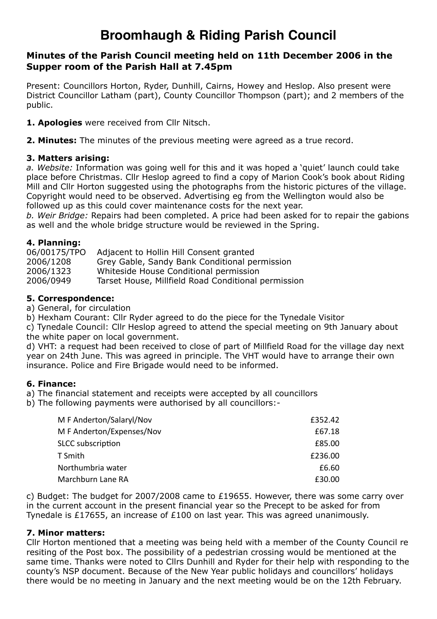# **Broomhaugh & Riding Parish Council**

# **Minutes of the Parish Council meeting held on 11th December 2006 in the Supper room of the Parish Hall at 7.45pm**

Present: Councillors Horton, Ryder, Dunhill, Cairns, Howey and Heslop. Also present were District Councillor Latham (part), County Councillor Thompson (part); and 2 members of the public.

**1. Apologies** were received from Cllr Nitsch.

**2. Minutes:** The minutes of the previous meeting were agreed as a true record.

## **3. Matters arising:**

*a. Website:* Information was going well for this and it was hoped a 'quiet' launch could take place before Christmas. Cllr Heslop agreed to find a copy of Marion Cook's book about Riding Mill and Cllr Horton suggested using the photographs from the historic pictures of the village. Copyright would need to be observed. Advertising eg from the Wellington would also be followed up as this could cover maintenance costs for the next year.

*b. Weir Bridge:* Repairs had been completed. A price had been asked for to repair the gabions as well and the whole bridge structure would be reviewed in the Spring.

## **4. Planning:**

| 06/00175/TPO | Adjacent to Hollin Hill Consent granted             |
|--------------|-----------------------------------------------------|
| 2006/1208    | Grey Gable, Sandy Bank Conditional permission       |
| 2006/1323    | Whiteside House Conditional permission              |
| 2006/0949    | Tarset House, Millfield Road Conditional permission |

## **5. Correspondence:**

a) General, for circulation

b) Hexham Courant: Cllr Ryder agreed to do the piece for the Tynedale Visitor

c) Tynedale Council: Cllr Heslop agreed to attend the special meeting on 9th January about the white paper on local government.

d) VHT: a request had been received to close of part of Millfield Road for the village day next year on 24th June. This was agreed in principle. The VHT would have to arrange their own insurance. Police and Fire Brigade would need to be informed.

#### **6. Finance:**

- a) The financial statement and receipts were accepted by all councillors
- b) The following payments were authorised by all councillors:-

| M F Anderton/Salaryl/Nov  | £352.42 |
|---------------------------|---------|
| M F Anderton/Expenses/Nov | £67.18  |
| <b>SLCC</b> subscription  | £85.00  |
| T Smith                   | £236.00 |
| Northumbria water         | £6.60   |
| Marchburn Lane RA         | £30.00  |

c) Budget: The budget for 2007/2008 came to £19655. However, there was some carry over in the current account in the present financial year so the Precept to be asked for from Tynedale is £17655, an increase of £100 on last year. This was agreed unanimously.

#### **7. Minor matters:**

Cllr Horton mentioned that a meeting was being held with a member of the County Council re resiting of the Post box. The possibility of a pedestrian crossing would be mentioned at the same time. Thanks were noted to Cllrs Dunhill and Ryder for their help with responding to the county's NSP document. Because of the New Year public holidays and councillors' holidays there would be no meeting in January and the next meeting would be on the 12th February.